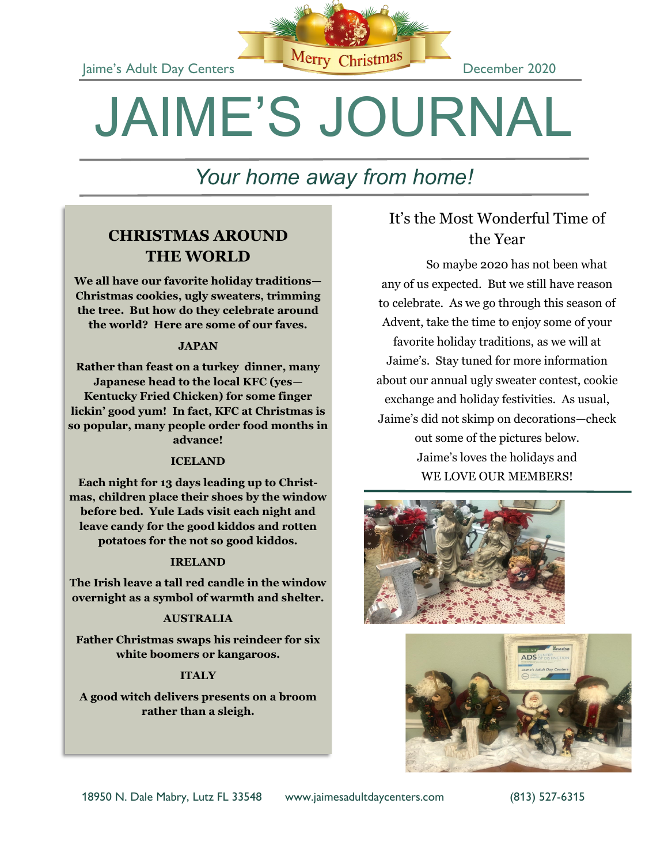

# JAIME'S JOURNAL

# *Your home away from home!*

### **CHRISTMAS AROUND THE WORLD**

**We all have our favorite holiday traditions— Christmas cookies, ugly sweaters, trimming the tree. But how do they celebrate around the world? Here are some of our faves.**

### **JAPAN**

**Rather than feast on a turkey dinner, many Japanese head to the local KFC (yes— Kentucky Fried Chicken) for some finger lickin' good yum! In fact, KFC at Christmas is so popular, many people order food months in advance!**

### **ICELAND**

**Each night for 13 days leading up to Christmas, children place their shoes by the window before bed. Yule Lads visit each night and leave candy for the good kiddos and rotten potatoes for the not so good kiddos.**

### **IRELAND**

**The Irish leave a tall red candle in the window overnight as a symbol of warmth and shelter.**

### **AUSTRALIA**

**Father Christmas swaps his reindeer for six white boomers or kangaroos.**

### **ITALY**

**A good witch delivers presents on a broom rather than a sleigh.**

### It's the Most Wonderful Time of the Year

So maybe 2020 has not been what any of us expected. But we still have reason to celebrate. As we go through this season of Advent, take the time to enjoy some of your favorite holiday traditions, as we will at Jaime's. Stay tuned for more information about our annual ugly sweater contest, cookie exchange and holiday festivities. As usual, Jaime's did not skimp on decorations—check out some of the pictures below. Jaime's loves the holidays and WE LOVE OUR MEMBERS!





18950 N. Dale Mabry, Lutz FL 33548 www.jaimesadultdaycenters.com (813) 527-6315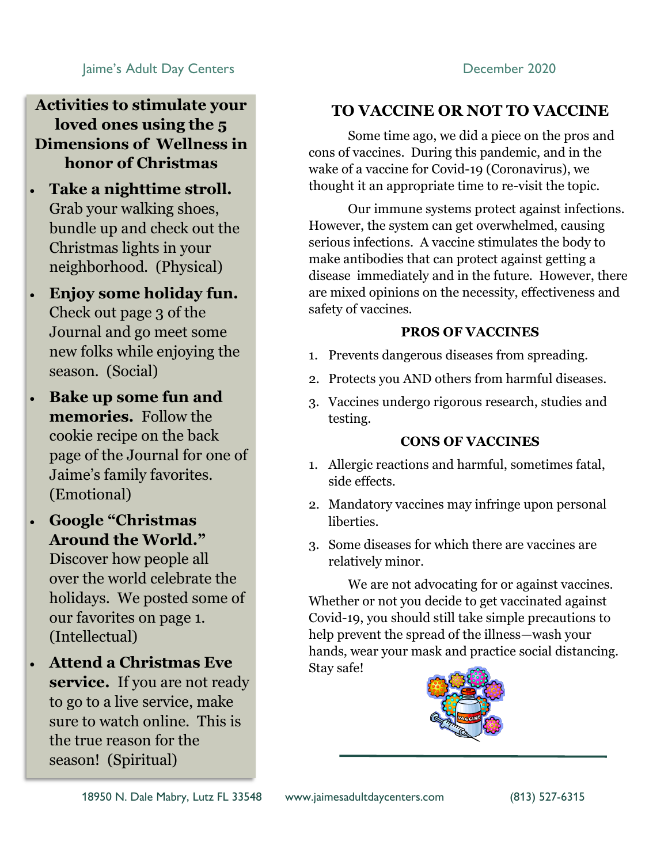### Jaime's Adult Day Centers **December 2020**

**Activities to stimulate your loved ones using the 5 Dimensions of Wellness in honor of Christmas**

- **Take a nighttime stroll.**  Grab your walking shoes, bundle up and check out the Christmas lights in your neighborhood. (Physical)
- **Enjoy some holiday fun.**  Check out page 3 of the Journal and go meet some new folks while enjoying the season. (Social)
- **Bake up some fun and memories.** Follow the cookie recipe on the back page of the Journal for one of Jaime's family favorites. (Emotional)
- **Google "Christmas Around the World."**  Discover how people all over the world celebrate the holidays. We posted some of our favorites on page 1. (Intellectual)
- **Attend a Christmas Eve service.** If you are not ready to go to a live service, make sure to watch online. This is the true reason for the season! (Spiritual)

### **TO VACCINE OR NOT TO VACCINE**

Some time ago, we did a piece on the pros and cons of vaccines. During this pandemic, and in the wake of a vaccine for Covid-19 (Coronavirus), we thought it an appropriate time to re-visit the topic.

Our immune systems protect against infections. However, the system can get overwhelmed, causing serious infections. A vaccine stimulates the body to make antibodies that can protect against getting a disease immediately and in the future. However, there are mixed opinions on the necessity, effectiveness and safety of vaccines.

### **PROS OF VACCINES**

- 1. Prevents dangerous diseases from spreading.
- 2. Protects you AND others from harmful diseases.
- 3. Vaccines undergo rigorous research, studies and testing.

### **CONS OF VACCINES**

- 1. Allergic reactions and harmful, sometimes fatal, side effects.
- 2. Mandatory vaccines may infringe upon personal liberties.
- 3. Some diseases for which there are vaccines are relatively minor.

We are not advocating for or against vaccines. Whether or not you decide to get vaccinated against Covid-19, you should still take simple precautions to help prevent the spread of the illness—wash your hands, wear your mask and practice social distancing. Stay safe!

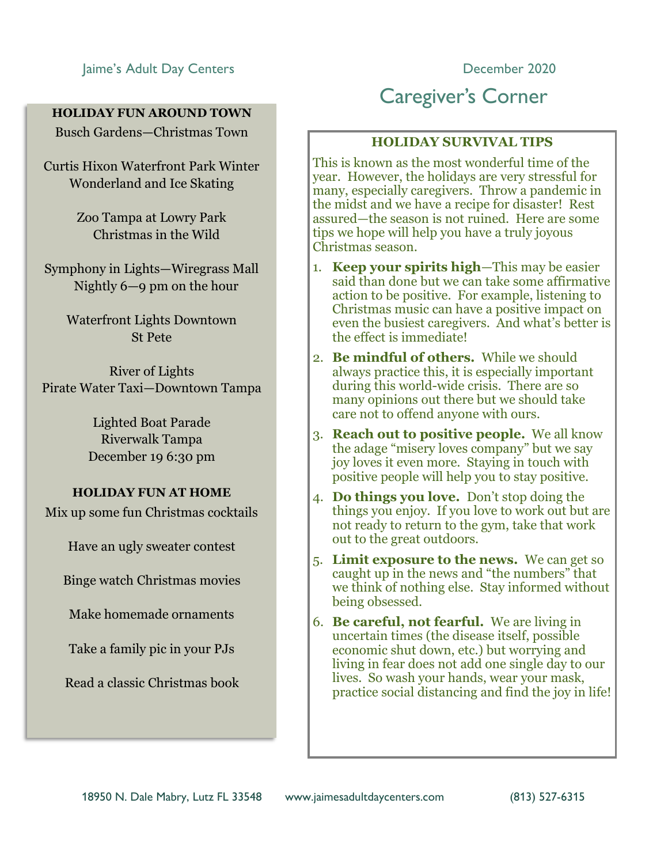### Jaime's Adult Day Centers **December 2020**

### **HOLIDAY FUN AROUND TOWN**

Busch Gardens—Christmas Town

Curtis Hixon Waterfront Park Winter Wonderland and Ice Skating

> Zoo Tampa at Lowry Park Christmas in the Wild

Symphony in Lights—Wiregrass Mall Nightly 6—9 pm on the hour

> Waterfront Lights Downtown St Pete

River of Lights Pirate Water Taxi—Downtown Tampa

> Lighted Boat Parade Riverwalk Tampa December 19 6:30 pm

### **HOLIDAY FUN AT HOME**

Mix up some fun Christmas cocktails

Have an ugly sweater contest

Binge watch Christmas movies

Make homemade ornaments

Take a family pic in your PJs

Read a classic Christmas book

## Caregiver's Corner

### **HOLIDAY SURVIVAL TIPS**

This is known as the most wonderful time of the year. However, the holidays are very stressful for many, especially caregivers. Throw a pandemic in the midst and we have a recipe for disaster! Rest assured—the season is not ruined. Here are some tips we hope will help you have a truly joyous Christmas season.

- 1. **Keep your spirits high**—This may be easier said than done but we can take some affirmative action to be positive. For example, listening to Christmas music can have a positive impact on even the busiest caregivers. And what's better is the effect is immediate!
- 2. **Be mindful of others.** While we should always practice this, it is especially important during this world-wide crisis. There are so many opinions out there but we should take care not to offend anyone with ours.
- 3. **Reach out to positive people.** We all know the adage "misery loves company" but we say joy loves it even more. Staying in touch with positive people will help you to stay positive.
- 4. **Do things you love.** Don't stop doing the things you enjoy. If you love to work out but are not ready to return to the gym, take that work out to the great outdoors.
- 5. **Limit exposure to the news.** We can get so caught up in the news and "the numbers" that we think of nothing else. Stay informed without being obsessed.
- 6. **Be careful, not fearful.** We are living in uncertain times (the disease itself, possible economic shut down, etc.) but worrying and living in fear does not add one single day to our lives. So wash your hands, wear your mask, practice social distancing and find the joy in life!